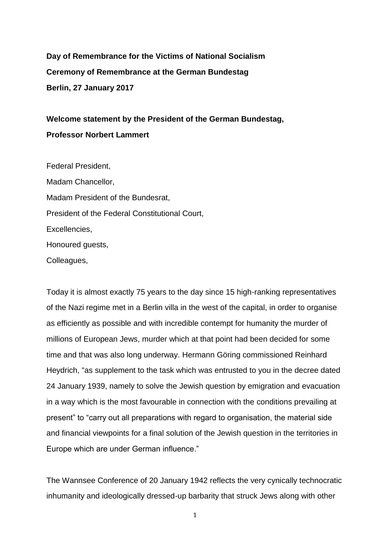**Day of Remembrance for the Victims of National Socialism Ceremony of Remembrance at the German Bundestag Berlin, 27 January 2017** 

**Welcome statement by the President of the German Bundestag, Professor Norbert Lammert**

Federal President, Madam Chancellor, Madam President of the Bundesrat, President of the Federal Constitutional Court, Excellencies, Honoured guests, Colleagues,

Today it is almost exactly 75 years to the day since 15 high-ranking representatives of the Nazi regime met in a Berlin villa in the west of the capital, in order to organise as efficiently as possible and with incredible contempt for humanity the murder of millions of European Jews, murder which at that point had been decided for some time and that was also long underway. Hermann Göring commissioned Reinhard Heydrich, "as supplement to the task which was entrusted to you in the decree dated 24 January 1939, namely to solve the Jewish question by emigration and evacuation in a way which is the most favourable in connection with the conditions prevailing at present" to "carry out all preparations with regard to organisation, the material side and financial viewpoints for a final solution of the Jewish question in the territories in Europe which are under German influence."

The Wannsee Conference of 20 January 1942 reflects the very cynically technocratic inhumanity and ideologically dressed-up barbarity that struck Jews along with other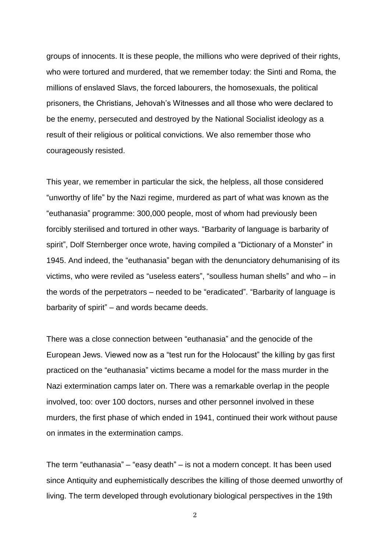groups of innocents. It is these people, the millions who were deprived of their rights, who were tortured and murdered, that we remember today: the Sinti and Roma, the millions of enslaved Slavs, the forced labourers, the homosexuals, the political prisoners, the Christians, Jehovah's Witnesses and all those who were declared to be the enemy, persecuted and destroyed by the National Socialist ideology as a result of their religious or political convictions. We also remember those who courageously resisted.

This year, we remember in particular the sick, the helpless, all those considered "unworthy of life" by the Nazi regime, murdered as part of what was known as the "euthanasia" programme: 300,000 people, most of whom had previously been forcibly sterilised and tortured in other ways. "Barbarity of language is barbarity of spirit", Dolf Sternberger once wrote, having compiled a "Dictionary of a Monster" in 1945. And indeed, the "euthanasia" began with the denunciatory dehumanising of its victims, who were reviled as "useless eaters", "soulless human shells" and who – in the words of the perpetrators – needed to be "eradicated". "Barbarity of language is barbarity of spirit" – and words became deeds.

There was a close connection between "euthanasia" and the genocide of the European Jews. Viewed now as a "test run for the Holocaust" the killing by gas first practiced on the "euthanasia" victims became a model for the mass murder in the Nazi extermination camps later on. There was a remarkable overlap in the people involved, too: over 100 doctors, nurses and other personnel involved in these murders, the first phase of which ended in 1941, continued their work without pause on inmates in the extermination camps.

The term "euthanasia" – "easy death" – is not a modern concept. It has been used since Antiquity and euphemistically describes the killing of those deemed unworthy of living. The term developed through evolutionary biological perspectives in the 19th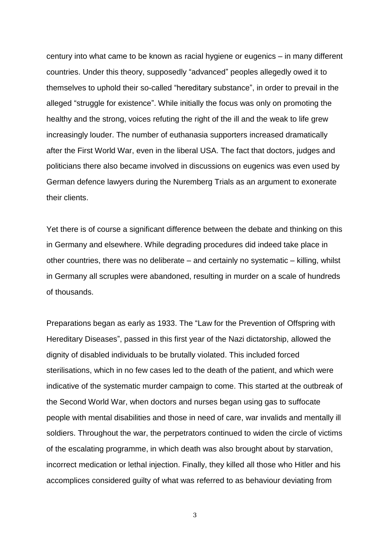century into what came to be known as racial hygiene or eugenics – in many different countries. Under this theory, supposedly "advanced" peoples allegedly owed it to themselves to uphold their so-called "hereditary substance", in order to prevail in the alleged "struggle for existence". While initially the focus was only on promoting the healthy and the strong, voices refuting the right of the ill and the weak to life grew increasingly louder. The number of euthanasia supporters increased dramatically after the First World War, even in the liberal USA. The fact that doctors, judges and politicians there also became involved in discussions on eugenics was even used by German defence lawyers during the Nuremberg Trials as an argument to exonerate their clients.

Yet there is of course a significant difference between the debate and thinking on this in Germany and elsewhere. While degrading procedures did indeed take place in other countries, there was no deliberate – and certainly no systematic – killing, whilst in Germany all scruples were abandoned, resulting in murder on a scale of hundreds of thousands.

Preparations began as early as 1933. The "Law for the Prevention of Offspring with Hereditary Diseases", passed in this first year of the Nazi dictatorship, allowed the dignity of disabled individuals to be brutally violated. This included forced sterilisations, which in no few cases led to the death of the patient, and which were indicative of the systematic murder campaign to come. This started at the outbreak of the Second World War, when doctors and nurses began using gas to suffocate people with mental disabilities and those in need of care, war invalids and mentally ill soldiers. Throughout the war, the perpetrators continued to widen the circle of victims of the escalating programme, in which death was also brought about by starvation, incorrect medication or lethal injection. Finally, they killed all those who Hitler and his accomplices considered guilty of what was referred to as behaviour deviating from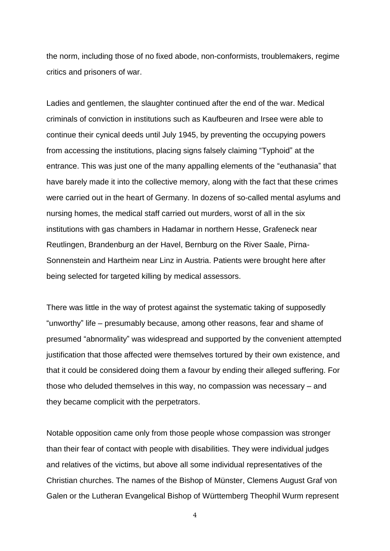the norm, including those of no fixed abode, non-conformists, troublemakers, regime critics and prisoners of war.

Ladies and gentlemen, the slaughter continued after the end of the war. Medical criminals of conviction in institutions such as Kaufbeuren and Irsee were able to continue their cynical deeds until July 1945, by preventing the occupying powers from accessing the institutions, placing signs falsely claiming "Typhoid" at the entrance. This was just one of the many appalling elements of the "euthanasia" that have barely made it into the collective memory, along with the fact that these crimes were carried out in the heart of Germany. In dozens of so-called mental asylums and nursing homes, the medical staff carried out murders, worst of all in the six institutions with gas chambers in Hadamar in northern Hesse, Grafeneck near Reutlingen, Brandenburg an der Havel, Bernburg on the River Saale, Pirna-Sonnenstein and Hartheim near Linz in Austria. Patients were brought here after being selected for targeted killing by medical assessors.

There was little in the way of protest against the systematic taking of supposedly "unworthy" life – presumably because, among other reasons, fear and shame of presumed "abnormality" was widespread and supported by the convenient attempted justification that those affected were themselves tortured by their own existence, and that it could be considered doing them a favour by ending their alleged suffering. For those who deluded themselves in this way, no compassion was necessary – and they became complicit with the perpetrators.

Notable opposition came only from those people whose compassion was stronger than their fear of contact with people with disabilities. They were individual judges and relatives of the victims, but above all some individual representatives of the Christian churches. The names of the Bishop of Münster, Clemens August Graf von Galen or the Lutheran Evangelical Bishop of Württemberg Theophil Wurm represent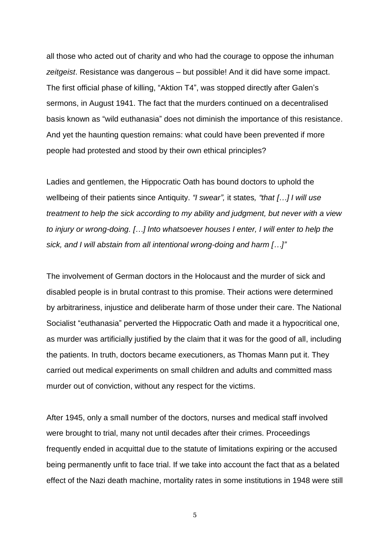all those who acted out of charity and who had the courage to oppose the inhuman *zeitgeist*. Resistance was dangerous – but possible! And it did have some impact. The first official phase of killing, "Aktion T4", was stopped directly after Galen's sermons, in August 1941. The fact that the murders continued on a decentralised basis known as "wild euthanasia" does not diminish the importance of this resistance. And yet the haunting question remains: what could have been prevented if more people had protested and stood by their own ethical principles?

Ladies and gentlemen, the Hippocratic Oath has bound doctors to uphold the wellbeing of their patients since Antiquity. *"I swear",* it states*, "that […] I will use treatment to help the sick according to my ability and judgment, but never with a view to injury or wrong-doing. […] Into whatsoever houses I enter, I will enter to help the sick, and I will abstain from all intentional wrong-doing and harm […]"*

The involvement of German doctors in the Holocaust and the murder of sick and disabled people is in brutal contrast to this promise. Their actions were determined by arbitrariness, injustice and deliberate harm of those under their care. The National Socialist "euthanasia" perverted the Hippocratic Oath and made it a hypocritical one, as murder was artificially justified by the claim that it was for the good of all, including the patients. In truth, doctors became executioners, as Thomas Mann put it. They carried out medical experiments on small children and adults and committed mass murder out of conviction, without any respect for the victims.

After 1945, only a small number of the doctors, nurses and medical staff involved were brought to trial, many not until decades after their crimes. Proceedings frequently ended in acquittal due to the statute of limitations expiring or the accused being permanently unfit to face trial. If we take into account the fact that as a belated effect of the Nazi death machine, mortality rates in some institutions in 1948 were still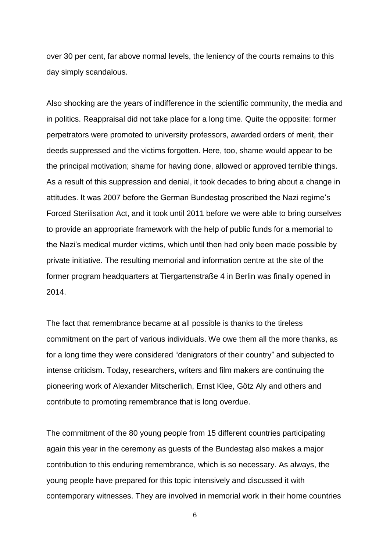over 30 per cent, far above normal levels, the leniency of the courts remains to this day simply scandalous.

Also shocking are the years of indifference in the scientific community, the media and in politics. Reappraisal did not take place for a long time. Quite the opposite: former perpetrators were promoted to university professors, awarded orders of merit, their deeds suppressed and the victims forgotten. Here, too, shame would appear to be the principal motivation; shame for having done, allowed or approved terrible things. As a result of this suppression and denial, it took decades to bring about a change in attitudes. It was 2007 before the German Bundestag proscribed the Nazi regime's Forced Sterilisation Act, and it took until 2011 before we were able to bring ourselves to provide an appropriate framework with the help of public funds for a memorial to the Nazi's medical murder victims, which until then had only been made possible by private initiative. The resulting memorial and information centre at the site of the former program headquarters at Tiergartenstraße 4 in Berlin was finally opened in 2014.

The fact that remembrance became at all possible is thanks to the tireless commitment on the part of various individuals. We owe them all the more thanks, as for a long time they were considered "denigrators of their country" and subjected to intense criticism. Today, researchers, writers and film makers are continuing the pioneering work of Alexander Mitscherlich, Ernst Klee, Götz Aly and others and contribute to promoting remembrance that is long overdue.

The commitment of the 80 young people from 15 different countries participating again this year in the ceremony as guests of the Bundestag also makes a major contribution to this enduring remembrance, which is so necessary. As always, the young people have prepared for this topic intensively and discussed it with contemporary witnesses. They are involved in memorial work in their home countries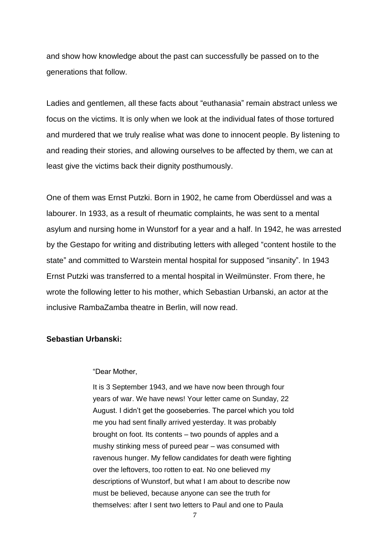and show how knowledge about the past can successfully be passed on to the generations that follow.

Ladies and gentlemen, all these facts about "euthanasia" remain abstract unless we focus on the victims. It is only when we look at the individual fates of those tortured and murdered that we truly realise what was done to innocent people. By listening to and reading their stories, and allowing ourselves to be affected by them, we can at least give the victims back their dignity posthumously.

One of them was Ernst Putzki. Born in 1902, he came from Oberdüssel and was a labourer. In 1933, as a result of rheumatic complaints, he was sent to a mental asylum and nursing home in Wunstorf for a year and a half. In 1942, he was arrested by the Gestapo for writing and distributing letters with alleged "content hostile to the state" and committed to Warstein mental hospital for supposed "insanity". In 1943 Ernst Putzki was transferred to a mental hospital in Weilmünster. From there, he wrote the following letter to his mother, which Sebastian Urbanski, an actor at the inclusive RambaZamba theatre in Berlin, will now read.

## **Sebastian Urbanski:**

## "Dear Mother,

It is 3 September 1943, and we have now been through four years of war. We have news! Your letter came on Sunday, 22 August. I didn't get the gooseberries. The parcel which you told me you had sent finally arrived yesterday. It was probably brought on foot. Its contents – two pounds of apples and a mushy stinking mess of pureed pear – was consumed with ravenous hunger. My fellow candidates for death were fighting over the leftovers, too rotten to eat. No one believed my descriptions of Wunstorf, but what I am about to describe now must be believed, because anyone can see the truth for themselves: after I sent two letters to Paul and one to Paula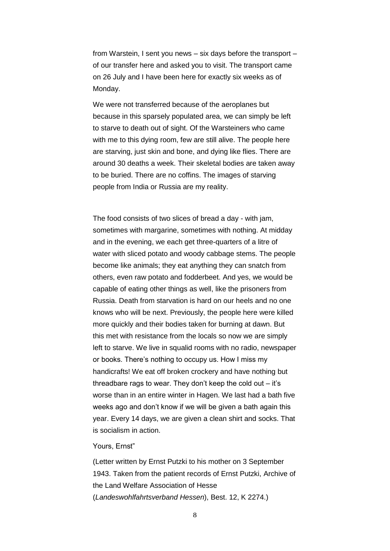from Warstein, I sent you news – six days before the transport – of our transfer here and asked you to visit. The transport came on 26 July and I have been here for exactly six weeks as of Monday.

We were not transferred because of the aeroplanes but because in this sparsely populated area, we can simply be left to starve to death out of sight. Of the Warsteiners who came with me to this dying room, few are still alive. The people here are starving, just skin and bone, and dying like flies. There are around 30 deaths a week. Their skeletal bodies are taken away to be buried. There are no coffins. The images of starving people from India or Russia are my reality.

The food consists of two slices of bread a day - with jam, sometimes with margarine, sometimes with nothing. At midday and in the evening, we each get three-quarters of a litre of water with sliced potato and woody cabbage stems. The people become like animals; they eat anything they can snatch from others, even raw potato and fodderbeet. And yes, we would be capable of eating other things as well, like the prisoners from Russia. Death from starvation is hard on our heels and no one knows who will be next. Previously, the people here were killed more quickly and their bodies taken for burning at dawn. But this met with resistance from the locals so now we are simply left to starve. We live in squalid rooms with no radio, newspaper or books. There's nothing to occupy us. How I miss my handicrafts! We eat off broken crockery and have nothing but threadbare rags to wear. They don't keep the cold out – it's worse than in an entire winter in Hagen. We last had a bath five weeks ago and don't know if we will be given a bath again this year. Every 14 days, we are given a clean shirt and socks. That is socialism in action.

## Yours, Ernst"

(Letter written by Ernst Putzki to his mother on 3 September 1943. Taken from the patient records of Ernst Putzki, Archive of the Land Welfare Association of Hesse (*Landeswohlfahrtsverband Hessen*), Best. 12, K 2274.)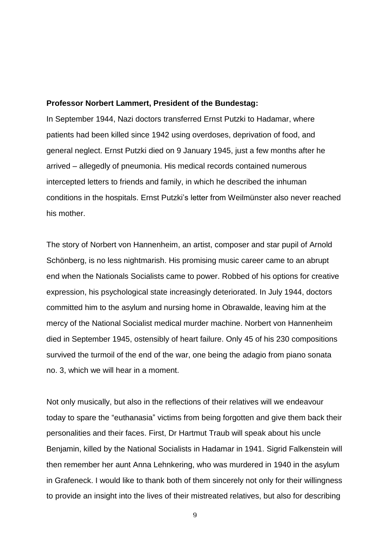## **Professor Norbert Lammert, President of the Bundestag:**

In September 1944, Nazi doctors transferred Ernst Putzki to Hadamar, where patients had been killed since 1942 using overdoses, deprivation of food, and general neglect. Ernst Putzki died on 9 January 1945, just a few months after he arrived – allegedly of pneumonia. His medical records contained numerous intercepted letters to friends and family, in which he described the inhuman conditions in the hospitals. Ernst Putzki's letter from Weilmünster also never reached his mother.

The story of Norbert von Hannenheim, an artist, composer and star pupil of Arnold Schönberg, is no less nightmarish. His promising music career came to an abrupt end when the Nationals Socialists came to power. Robbed of his options for creative expression, his psychological state increasingly deteriorated. In July 1944, doctors committed him to the asylum and nursing home in Obrawalde, leaving him at the mercy of the National Socialist medical murder machine. Norbert von Hannenheim died in September 1945, ostensibly of heart failure. Only 45 of his 230 compositions survived the turmoil of the end of the war, one being the adagio from piano sonata no. 3, which we will hear in a moment.

Not only musically, but also in the reflections of their relatives will we endeavour today to spare the "euthanasia" victims from being forgotten and give them back their personalities and their faces. First, Dr Hartmut Traub will speak about his uncle Benjamin, killed by the National Socialists in Hadamar in 1941. Sigrid Falkenstein will then remember her aunt Anna Lehnkering, who was murdered in 1940 in the asylum in Grafeneck. I would like to thank both of them sincerely not only for their willingness to provide an insight into the lives of their mistreated relatives, but also for describing